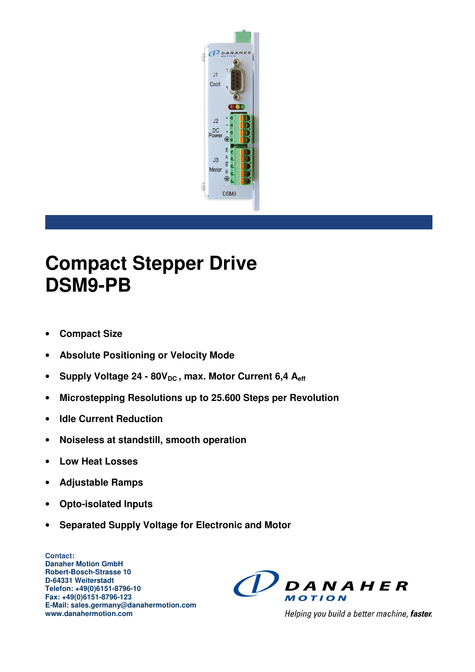

## **Compact Stepper Drive DSM9-PB**

- **Compact Size**
- **Absolute Positioning or Velocity Mode**
- Supply Voltage 24 80V<sub>DC</sub>, max. Motor Current 6,4 A<sub>eff</sub>
- **Microstepping Resolutions up to 25.600 Steps per Revolution**
- **Idle Current Reduction**
- **Noiseless at standstill, smooth operation**
- **Low Heat Losses**
- **Adjustable Ramps**
- **Opto-isolated Inputs**
- **Separated Supply Voltage for Electronic and Motor**

**Contact: Danaher Motion GmbH Robert-Bosch-Strasse 10 D-64331 Weiterstadt Telefon: +49(0)6151-8796-10 Fax: +49(0)6151-8796-123 E-Mail: sales.germany@danahermotion.com www.danahermotion.com** 



Helping you build a better machine, faster.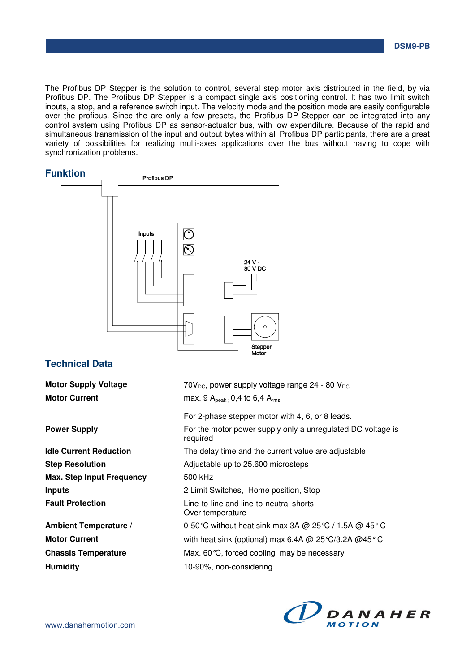The Profibus DP Stepper is the solution to control, several step motor axis distributed in the field, by via Profibus DP. The Profibus DP Stepper is a compact single axis positioning control. It has two limit switch inputs, a stop, and a reference switch input. The velocity mode and the position mode are easily configurable over the profibus. Since the are only a few presets, the Profibus DP Stepper can be integrated into any control system using Profibus DP as sensor-actuator bus, with low expenditure. Because of the rapid and simultaneous transmission of the input and output bytes within all Profibus DP participants, there are a great variety of possibilities for realizing multi-axes applications over the bus without having to cope with synchronization problems.



## **Technical Data**

| <b>Motor Supply Voltage</b>      | 70 $V_{DC}$ , power supply voltage range 24 - 80 $V_{DC}$               |
|----------------------------------|-------------------------------------------------------------------------|
| <b>Motor Current</b>             | max. 9 $A_{peak}$ : 0,4 to 6,4 $A_{rms}$                                |
|                                  | For 2-phase stepper motor with 4, 6, or 8 leads.                        |
| <b>Power Supply</b>              | For the motor power supply only a unregulated DC voltage is<br>required |
| <b>Idle Current Reduction</b>    | The delay time and the current value are adjustable                     |
| <b>Step Resolution</b>           | Adjustable up to 25.600 microsteps                                      |
| <b>Max. Step Input Frequency</b> | 500 kHz                                                                 |
| <b>Inputs</b>                    | 2 Limit Switches, Home position, Stop                                   |
| <b>Fault Protection</b>          | Line-to-line and line-to-neutral shorts<br>Over temperature             |
| <b>Ambient Temperature /</b>     | 0-50 °C without heat sink max 3A @ 25 °C / 1.5A @ 45 °C                 |
| <b>Motor Current</b>             | with heat sink (optional) max 6.4A @ 25 °C/3.2A @ 45 °C                 |
| <b>Chassis Temperature</b>       | Max. 60 °C, forced cooling may be necessary                             |
| <b>Humidity</b>                  | 10-90%, non-considering                                                 |